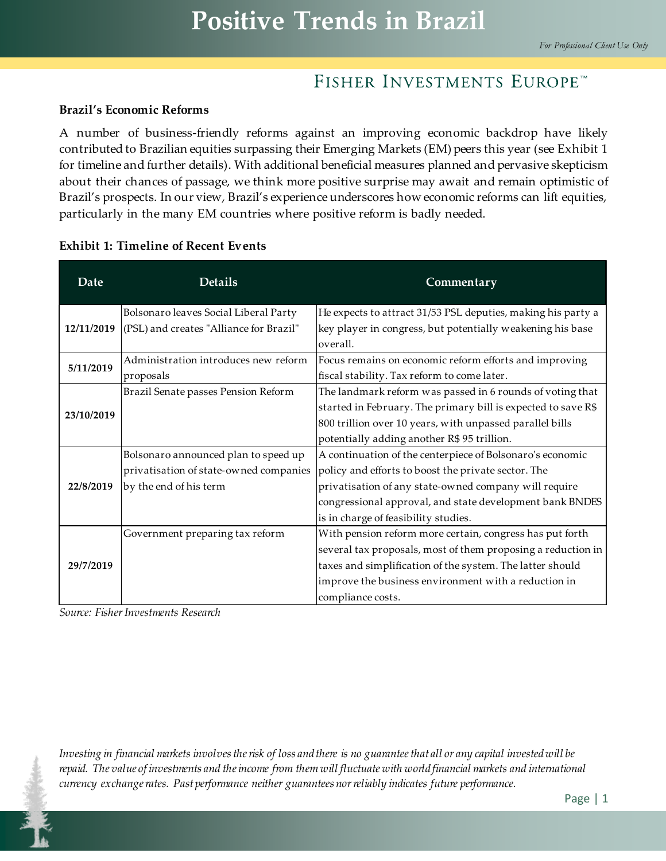#### **Brazil's Economic Reforms**

A number of business-friendly reforms against an improving economic backdrop have likely contributed to Brazilian equities surpassing their Emerging Markets (EM) peers this year (see Exhibit 1 for timeline and further details). With additional beneficial measures planned and pervasive skepticism about their chances of passage, we think more positive surprise may await and remain optimistic of Brazil's prospects. In our view, Brazil's experience underscores how economic reforms can lift equities, particularly in the many EM countries where positive reform is badly needed.

| Date       | <b>Details</b>                          | Commentary                                                             |
|------------|-----------------------------------------|------------------------------------------------------------------------|
| 12/11/2019 | Bolsonaro leaves Social Liberal Party   | He expects to attract 31/53 PSL deputies, making his party a           |
|            | (PSL) and creates "Alliance for Brazil" | key player in congress, but potentially weakening his base<br>overall. |
| 5/11/2019  | Administration introduces new reform    | Focus remains on economic reform efforts and improving                 |
|            | proposals                               | fiscal stability. Tax reform to come later.                            |
| 23/10/2019 | Brazil Senate passes Pension Reform     | The landmark reform was passed in 6 rounds of voting that              |
|            |                                         | started in February. The primary bill is expected to save R\$          |
|            |                                         | 800 trillion over 10 years, with unpassed parallel bills               |
|            |                                         | potentially adding another R\$ 95 trillion.                            |
| 22/8/2019  | Bolsonaro announced plan to speed up    | A continuation of the centerpiece of Bolsonaro's economic              |
|            | privatisation of state-owned companies  | policy and efforts to boost the private sector. The                    |
|            | by the end of his term                  | privatisation of any state-owned company will require                  |
|            |                                         | congressional approval, and state development bank BNDES               |
|            |                                         | is in charge of feasibility studies.                                   |
| 29/7/2019  | Government preparing tax reform         | With pension reform more certain, congress has put forth               |
|            |                                         | several tax proposals, most of them proposing a reduction in           |
|            |                                         | taxes and simplification of the system. The latter should              |
|            |                                         | improve the business environment with a reduction in                   |
|            |                                         | compliance costs.                                                      |

#### **Exhibit 1: Timeline of Recent Events**

*Source: Fisher Investments Research*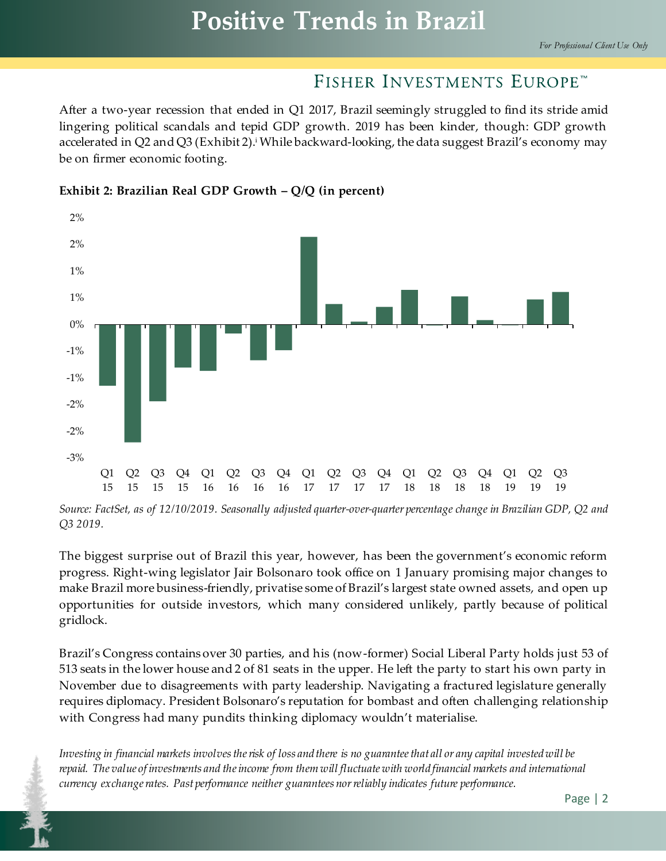After a two-year recession that ended in Q1 2017, Brazil seemingly struggled to find its stride amid lingering political scandals and tepid GDP growth. 2019 has been kinder, though: GDP growth accelerated in Q2 and Q3 (Exhibit 2).<sup>i</sup> While backward-looking, the data suggest Brazil's economy may be on firmer economic footing.



**Exhibit 2: Brazilian Real GDP Growth – Q/Q (in percent)**

*Source: FactSet, as of 12/10/2019. Seasonally adjusted quarter-over-quarter percentage change in Brazilian GDP, Q2 and Q3 2019.*

The biggest surprise out of Brazil this year, however, has been the government's economic reform progress. Right-wing legislator Jair Bolsonaro took office on 1 January promising major changes to make Brazil more business-friendly, privatise some of Brazil's largest state owned assets, and open up opportunities for outside investors, which many considered unlikely, partly because of political gridlock.

Brazil's Congress contains over 30 parties, and his (now-former) Social Liberal Party holds just 53 of 513 seats in the lower house and 2 of 81 seats in the upper. He left the party to start his own party in November due to disagreements with party leadership. Navigating a fractured legislature generally requires diplomacy. President Bolsonaro's reputation for bombast and often challenging relationship with Congress had many pundits thinking diplomacy wouldn't materialise.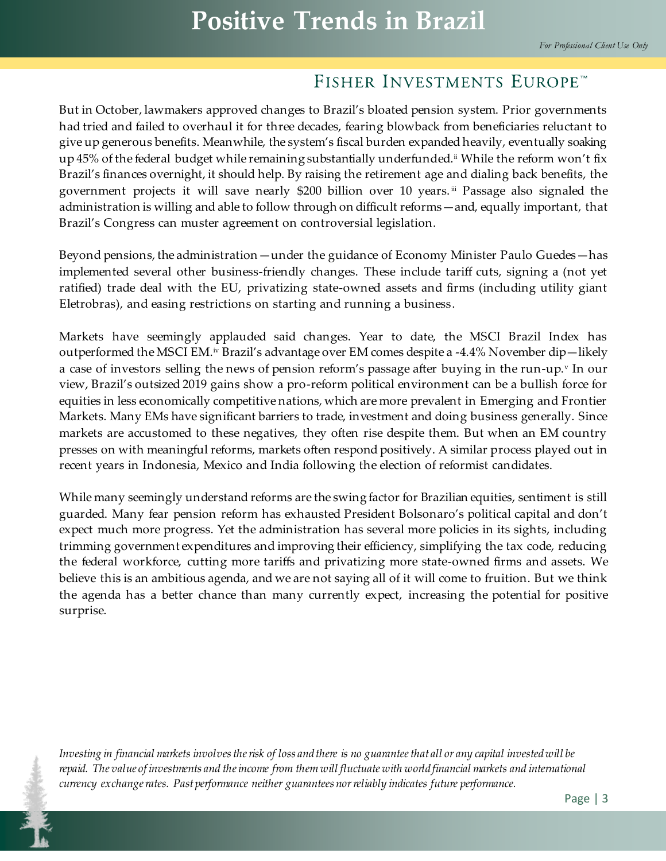But in October, lawmakers approved changes to Brazil's bloated pension system. Prior governments had tried and failed to overhaul it for three decades, fearing blowback from beneficiaries reluctant to give up generous benefits. Meanwhile, the system's fiscal burden expanded heavily, eventually soaking up 45% of the federal budget while remaining substantially underfunded.<sup>ii</sup> While the reform won't fix Brazil's finances overnight, it should help. By raising the retirement age and dialing back benefits, the government projects it will save nearly \$200 billion over 10 years.<sup>iii</sup> Passage also signaled the administration is willing and able to follow through on difficult reforms—and, equally important, that Brazil's Congress can muster agreement on controversial legislation.

Beyond pensions, the administration—under the guidance of Economy Minister Paulo Guedes—has implemented several other business-friendly changes. These include tariff cuts, signing a (not yet ratified) trade deal with the EU, privatizing state-owned assets and firms (including utility giant Eletrobras), and easing restrictions on starting and running a business.

Markets have seemingly applauded said changes. Year to date, the MSCI Brazil Index has outperformed the MSCI EM.¤ Brazil's advantage over EM comes despite a -4.4% November dip—likely a case of investors selling the news of pension reform's passage after buying in the run-up.<sup>v</sup> In our view, Brazil's outsized 2019 gains show a pro-reform political environment can be a bullish force for equities in less economically competitive nations, which are more prevalent in Emerging and Frontier Markets. Many EMs have significant barriers to trade, investment and doing business generally. Since markets are accustomed to these negatives, they often rise despite them. But when an EM country presses on with meaningful reforms, markets often respond positively. A similar process played out in recent years in Indonesia, Mexico and India following the election of reformist candidates.

While many seemingly understand reforms are the swing factor for Brazilian equities, sentiment is still guarded. Many fear pension reform has exhausted President Bolsonaro's political capital and don't expect much more progress. Yet the administration has several more policies in its sights, including trimming government expenditures and improving their efficiency, simplifying the tax code, reducing the federal workforce, cutting more tariffs and privatizing more state-owned firms and assets. We believe this is an ambitious agenda, and we are not saying all of it will come to fruition. But we think the agenda has a better chance than many currently expect, increasing the potential for positive surprise.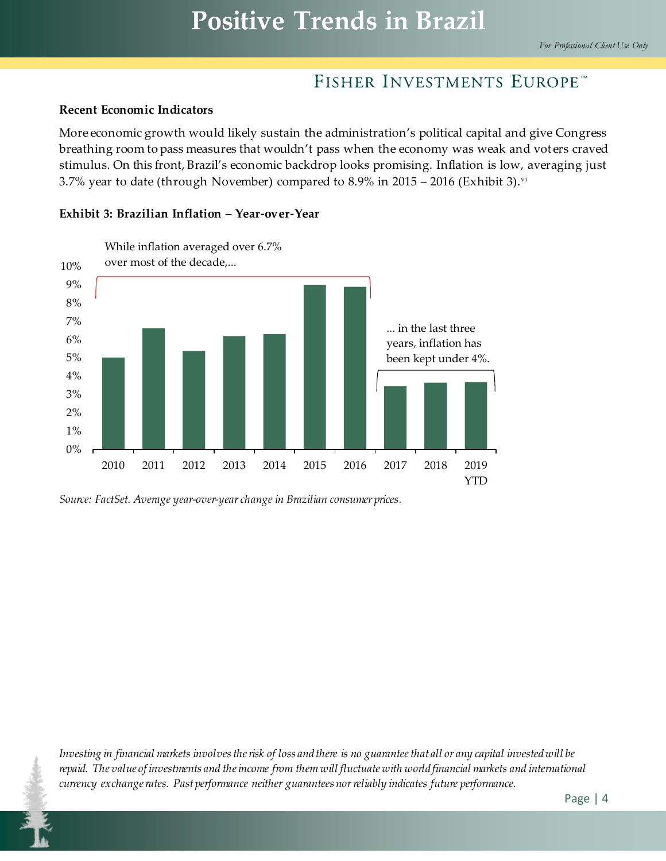#### **Recent Economic Indicators**

More economic growth would likely sustain the administration's political capital and give Congress breathing room to pass measures that wouldn't pass when the economy was weak and voters craved stimulus. On this front, Brazil's economic backdrop looks promising. Inflation is low, averaging just 3.7% year to date (through November) compared to 8.9% in 2015 – 2016 (Exhibit 3). vi



#### **Exhibit 3: Brazilian Inflation – Year-over-Year**

*Source: FactSet. Average year-over-year change in Brazilian consumer prices.*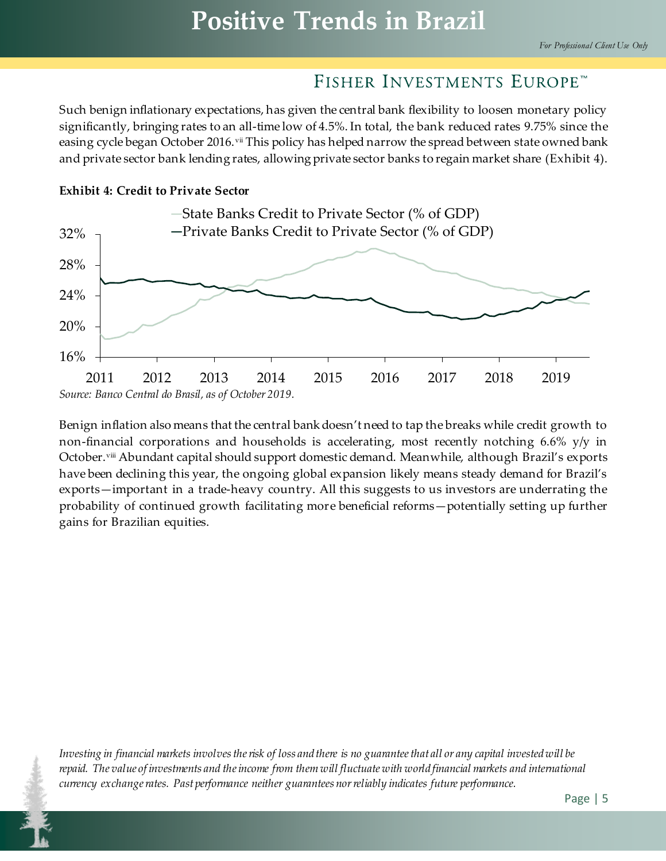Such benign inflationary expectations, has given the central bank flexibility to loosen monetary policy significantly, bringing rates to an all-time low of 4.5%. In total, the bank reduced rates 9.75% since the easing cycle began October 2016.<sup>vii</sup> This policy has helped narrow the spread between state owned bank and private sector bank lending rates, allowing private sector banks to regain market share (Exhibit 4).





Benign inflation also means that the central bank doesn't need to tap the breaks while credit growth to non-financial corporations and households is accelerating, most recently notching 6.6% y/y in October.viii Abundant capital should support domestic demand. Meanwhile, although Brazil's exports have been declining this year, the ongoing global expansion likely means steady demand for Brazil's exports—important in a trade-heavy country. All this suggests to us investors are underrating the probability of continued growth facilitating more beneficial reforms—potentially setting up further gains for Brazilian equities.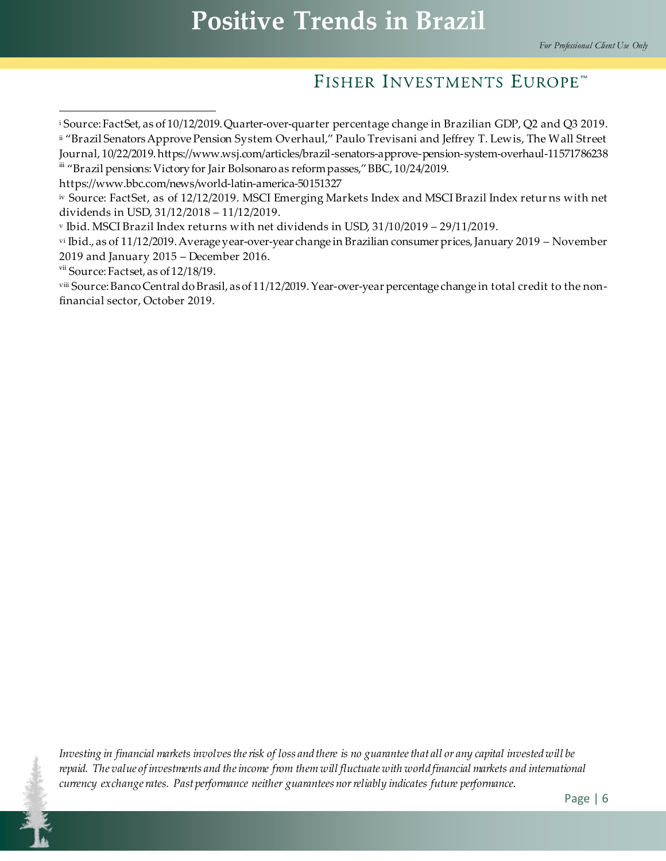$\overline{a}$ <sup>i</sup> Source: FactSet, as of 10/12/2019. Quarter-over-quarter percentage change in Brazilian GDP, Q2 and Q3 2019.

ii "Brazil Senators Approve Pension System Overhaul," Paulo Trevisani and Jeffrey T. Lewis, The Wall Street Journal, 10/22/2019. https://www.wsj.com/articles/brazil-senators-approve-pension-system-overhaul-11571786238

iii "Brazil pensions: Victory for Jair Bolsonaro as reform passes," BBC, 10/24/2019.

https://www.bbc.com/news/world-latin-america-50151327

iv Source: FactSet, as of 12/12/2019. MSCI Emerging Markets Index and MSCI Brazil Index retur ns with net dividends in USD, 31/12/2018 – 11/12/2019.

<sup>v</sup> Ibid. MSCI Brazil Index returns with net dividends in USD, 31/10/2019 – 29/11/2019.

vi Ibid., as of 11/12/2019. Average year-over-year change in Brazilian consumer prices, January 2019 – November 2019 and January 2015 – December 2016.

 $vii$  Source: Factset, as of  $12/18/19$ .

viii Source: Banco Central do Brasil, as of 11/12/2019. Year-over-year percentage change in total credit to the nonfinancial sector, October 2019.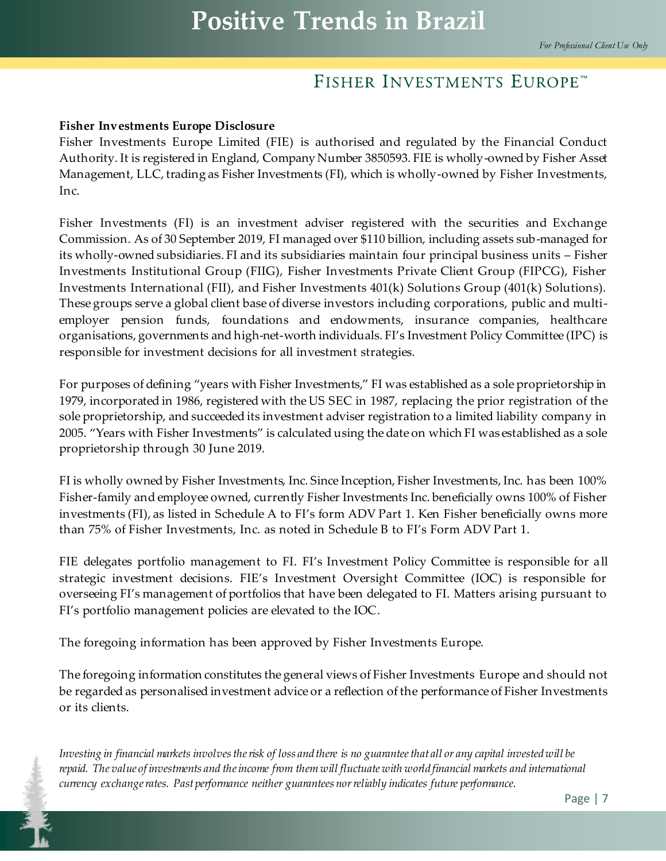#### **Fisher Investments Europe Disclosure**

Fisher Investments Europe Limited (FIE) is authorised and regulated by the Financial Conduct Authority. It is registered in England, Company Number 3850593. FIE is wholly-owned by Fisher Asset Management, LLC, trading as Fisher Investments (FI), which is wholly-owned by Fisher Investments, Inc.

Fisher Investments (FI) is an investment adviser registered with the securities and Exchange Commission. As of 30 September 2019, FI managed over \$110 billion, including assets sub-managed for its wholly-owned subsidiaries. FI and its subsidiaries maintain four principal business units – Fisher Investments Institutional Group (FIIG), Fisher Investments Private Client Group (FIPCG), Fisher Investments International (FII), and Fisher Investments 401(k) Solutions Group (401(k) Solutions). These groups serve a global client base of diverse investors including corporations, public and multiemployer pension funds, foundations and endowments, insurance companies, healthcare organisations, governments and high-net-worth individuals. FI's Investment Policy Committee (IPC) is responsible for investment decisions for all investment strategies.

For purposes of defining "years with Fisher Investments," FI was established as a sole proprietorship in 1979, incorporated in 1986, registered with the US SEC in 1987, replacing the prior registration of the sole proprietorship, and succeeded its investment adviser registration to a limited liability company in 2005. "Years with Fisher Investments" is calculated using the date on which FI was established as a sole proprietorship through 30 June 2019.

FI is wholly owned by Fisher Investments, Inc. Since Inception, Fisher Investments, Inc. has been 100% Fisher-family and employee owned, currently Fisher Investments Inc. beneficially owns 100% of Fisher investments (FI), as listed in Schedule A to FI's form ADV Part 1. Ken Fisher beneficially owns more than 75% of Fisher Investments, Inc. as noted in Schedule B to FI's Form ADV Part 1.

FIE delegates portfolio management to FI. FI's Investment Policy Committee is responsible for all strategic investment decisions. FIE's Investment Oversight Committee (IOC) is responsible for overseeing FI's management of portfolios that have been delegated to FI. Matters arising pursuant to FI's portfolio management policies are elevated to the IOC.

The foregoing information has been approved by Fisher Investments Europe.

The foregoing information constitutes the general views of Fisher Investments Europe and should not be regarded as personalised investment advice or a reflection of the performance of Fisher Investments or its clients.